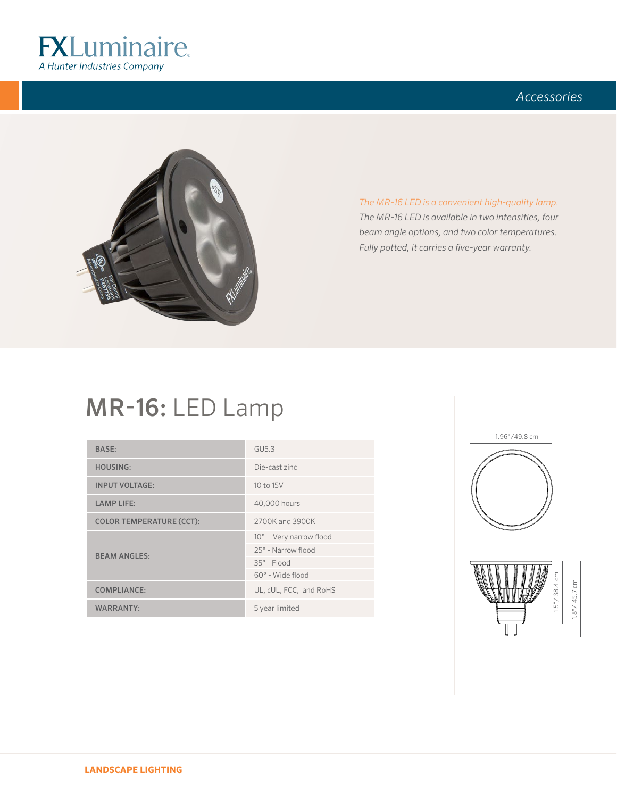

### *Accessories*



*The MR-16 LED is a convenient high-quality lamp. The MR-16 LED is available in two intensities, four beam angle options, and two color temperatures. Fully potted, it carries a five-year warranty.* 

# MR-16: LED Lamp

| <b>BASE:</b>                    | GU5.3                   |
|---------------------------------|-------------------------|
| <b>HOUSING:</b>                 | Die-cast zinc           |
| <b>INPUT VOLTAGE:</b>           | 10 to 15V               |
| <b>LAMP LIFE:</b>               | 40,000 hours            |
| <b>COLOR TEMPERATURE (CCT):</b> | 2700K and 3900K         |
|                                 | 10° - Very narrow flood |
| <b>BEAM ANGLES:</b>             | 25° - Narrow flood      |
|                                 | $35^\circ$ - Flood      |
|                                 | $60^\circ$ - Wide flood |
| <b>COMPLIANCE:</b>              | UL, cUL, FCC, and RoHS  |
| WARRANTY:                       | 5 year limited          |



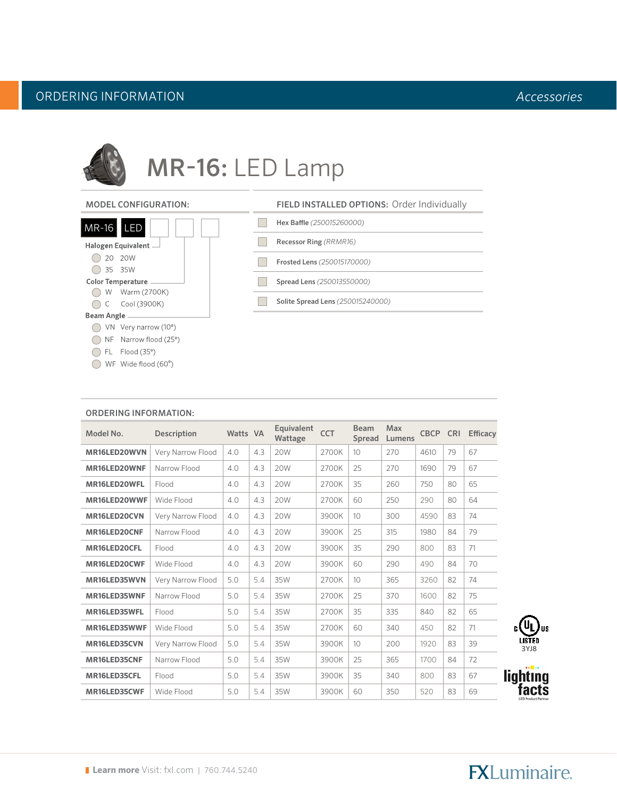## ORDERING INFORMATION *Accessories*



# MR-16: LED Lamp

#### MODEL CONFIGURATION:

| $MR-16$    | <b>LED</b><br>35              |
|------------|-------------------------------|
|            | Halogen Equivalent —          |
|            | 20 20W                        |
|            | 35 35W                        |
|            | Color Temperature ____        |
|            | W Warm (2700K)                |
|            | C Cool (3900K)                |
| Beam Angle |                               |
|            | VN Very narrow $(10^{\circ})$ |
|            | NF Narrow flood (25°)         |
|            | FL Flood (35°)                |
|            | WF Wide flood (60°            |

| <b>FIELD INSTALLED OPTIONS: Order Individually</b> |
|----------------------------------------------------|
| Hex Baffle (250015260000)                          |
| Recessor Ring (RRMR16)                             |
| <b>Frosted Lens (250015170000)</b>                 |
| Spread Lens (250013550000)                         |
| Solite Spread Lens (250015240000)                  |
|                                                    |

| Model No.    | Description       | Watts VA |     | Equivalent<br>Wattage | <b>CCT</b> | <b>Beam</b><br>Spread | <b>Max</b><br>Lumens | <b>CBCP</b> | <b>CRI</b> | <b>Efficacy</b> |
|--------------|-------------------|----------|-----|-----------------------|------------|-----------------------|----------------------|-------------|------------|-----------------|
| MR16LED20WVN | Very Narrow Flood | 4.0      | 4.3 | <b>20W</b>            | 2700K      | 10 <sup>°</sup>       | 270                  | 4610        | 79         | 67              |
| MR16LED20WNF | Narrow Flood      | 4.0      | 4.3 | 20W                   | 2700K      | 25                    | 270                  | 1690        | 79         | 67              |
| MR16LED20WFL | Flood             | 4.0      | 4.3 | <b>20W</b>            | 2700K      | 35                    | 260                  | 750         | 80         | 65              |
| MR16LED20WWF | Wide Flood        | 4.0      | 4.3 | 20W                   | 2700K      | 60                    | 250                  | 290         | 80         | 64              |
| MR16LED20CVN | Very Narrow Flood | 4.0      | 4.3 | <b>20W</b>            | 3900K      | 10                    | 300                  | 4590        | 83         | 74              |
| MR16LED20CNF | Narrow Flood      | 4.0      | 4.3 | 20W                   | 3900K      | 25                    | 315                  | 1980        | 84         | 79              |
| MR16LED20CFL | Flood             | 4.0      | 4.3 | <b>20W</b>            | 3900K      | 35                    | 290                  | 800         | 83         | 71              |
| MR16LED20CWF | Wide Flood        | 4.0      | 4.3 | <b>20W</b>            | 3900K      | 60                    | 290                  | 490         | 84         | 70              |
| MR16LED35WVN | Very Narrow Flood | 5.0      | 5.4 | 35W                   | 2700K      | 10                    | 365                  | 3260        | 82         | 74              |
| MR16LED35WNF | Narrow Flood      | 5.0      | 5.4 | 35W                   | 2700K      | 25                    | 370                  | 1600        | 82         | 75              |
| MR16LED35WFL | Flood             | 5.0      | 5.4 | 35W                   | 2700K      | 35                    | 335                  | 840         | 82         | 65              |
| MR16LED35WWF | Wide Flood        | 5.0      | 5.4 | 35W                   | 2700K      | 60                    | 340                  | 450         | 82         | 71              |
| MR16LED35CVN | Very Narrow Flood | 5.0      | 5.4 | 35W                   | 3900K      | 10 <sup>°</sup>       | 200                  | 1920        | 83         | 39              |
| MR16LED35CNF | Narrow Flood      | 5.0      | 5.4 | 35W                   | 3900K      | 25                    | 365                  | 1700        | 84         | 72              |
| MR16LED35CFL | Flood             | 5.0      | 5.4 | 35W                   | 3900K      | 35                    | 340                  | 800         | 83         | 67              |
| MR16LED35CWF | Wide Flood        | 5.0      | 5.4 | 35W                   | 3900K      | 60                    | 350                  | 520         | 83         | 69              |

#### ORDERING INFORMATION:

# **FXLuminaire.**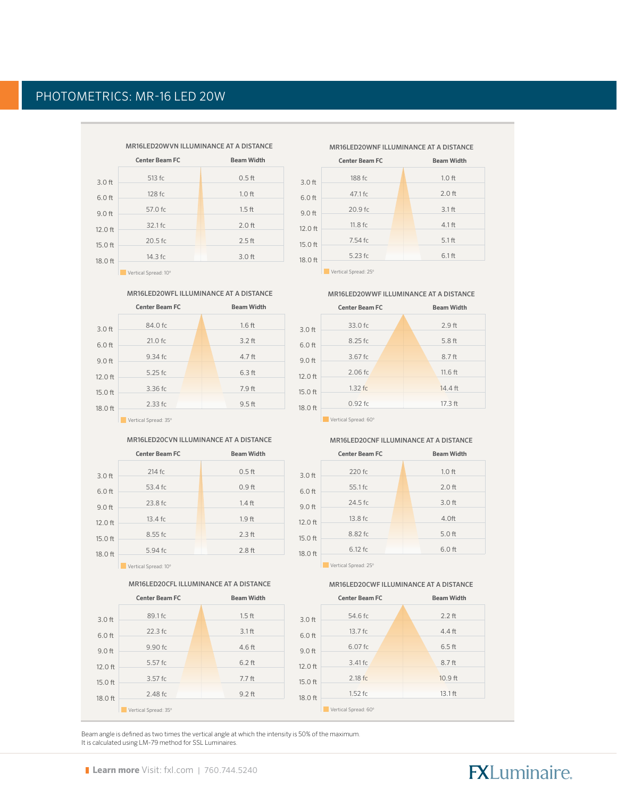### PHOTOMETRICS: MR-16 LED 20W

|           | MR16LED20WVN ILLUMINANCE AT A DISTANCE |                   |  |  |  |  |
|-----------|----------------------------------------|-------------------|--|--|--|--|
|           | <b>Center Beam FC</b>                  | <b>Beam Width</b> |  |  |  |  |
| $3.0$ ft  | 513 fc                                 | $0.5$ ft          |  |  |  |  |
| $6.0$ ft  | 128 fc                                 | $1.0$ ft          |  |  |  |  |
| $9.0$ ft  | 57.0 fc                                | $1.5$ ft          |  |  |  |  |
| 12.0 ft   | $32.1$ fc                              | $2.0$ ft          |  |  |  |  |
| $15.0$ ft | $20.5$ fc                              | $2.5$ ft          |  |  |  |  |
| 18.0 ft   | $14.3$ fc.                             | $3.0$ ft          |  |  |  |  |
|           | Vertical Spread: 10°                   |                   |  |  |  |  |

#### MR16LED20WFL ILLUMINANCE AT A DISTANCE

|          | <b>Center Beam FC</b> | <b>Beam Width</b> |
|----------|-----------------------|-------------------|
| $3.0$ ft | 84.0 fc               | $1.6$ ft          |
| $6.0$ ft | $21.0$ fc             | $3.2$ ft          |
| $9.0$ ft | $9.34$ fc             | $4.7$ ft          |
| 12.0 ft  | $5.25$ fc             | $6.3$ ft          |
| 15.0 ft  | 3.36 fc               | $7.9$ ft          |
| 18.0 ft  | $2.33$ fc             | $9.5$ ft          |

**Vertical Spread: 35°** 

#### MR16LED20CVN ILLUMINANCE AT A DISTANCE

|          | <b>Center Beam FC</b> | <b>Beam Width</b> |
|----------|-----------------------|-------------------|
| $3.0$ ft | 214 fc                | $0.5$ ft          |
| $6.0$ ft | 53.4 fc               | 0.9 <sub>ft</sub> |
| $9.0$ ft | 23.8 fc               | $1.4$ ft          |
| 12.0 ft  | $13.4$ fc             | 1.9 <sub>ft</sub> |
| 15.0 ft  | 8.55 fc               | $2.3$ ft          |
| 18.0 ft  | 5.94 fc               | 2.8 <sub>ft</sub> |
|          | Vertical Spread: 10°  |                   |

MR16LED20CFL ILLUMINANCE AT A DISTANCE



MR16LED20WNF ILLUMINANCE AT A DISTANCE

|                 | <b>Center Beam FC</b> | <b>Beam Width</b> |
|-----------------|-----------------------|-------------------|
| 0 ft            | 188 fc                | $1.0$ ft          |
| 0 ft            | 47.1 fc               | $2.0$ ft          |
| 0 ft            | 20.9 fc               | 3.1 <sub>ft</sub> |
| 0 <sub>ft</sub> | 11.8 fc               | $4.1$ ft          |
| 0 <sub>ft</sub> | 7.54 fc               | 5.1 <sub>ft</sub> |
| 0 <sub>ft</sub> | 5.23 fc               | 6.1 <sub>ft</sub> |
|                 |                       |                   |

Vertical Spread: 25°

3.0 6.0 9.0 12.0 15.0 18.0

MR16LED20WWF ILLUMINANCE AT A DISTANCE



Vertical Spread: 60º

#### MR16LED20CNF ILLUMINANCE AT A DISTANCE

|           | <b>Center Beam FC</b> | <b>Beam Width</b> |
|-----------|-----------------------|-------------------|
| $3.0$ ft  | 220 fc                | $1.0$ ft          |
| $6.0$ ft  | 55.1 fc               | $2.0$ ft          |
| $9.0$ ft  | 24.5 fc               | $3.0$ ft          |
| $12.0$ ft | 13.8 fc               | 4.0 <sub>ft</sub> |
|           | 8.82 fc               | $5.0$ ft          |
| 15.0 ft   | $6.12$ fc             | $6.0$ ft          |
| 18.0 ft   |                       |                   |
|           | Vertical Spread: 25°  |                   |

MR16LED20CWF ILLUMINANCE AT A DISTANCE



Beam angle is defined as two times the vertical angle at which the intensity is 50% of the maximum. It is calculated using LM-79 method for SSL Luminaires.

# **FXLuminaire.**

Vertical Spread: 35º